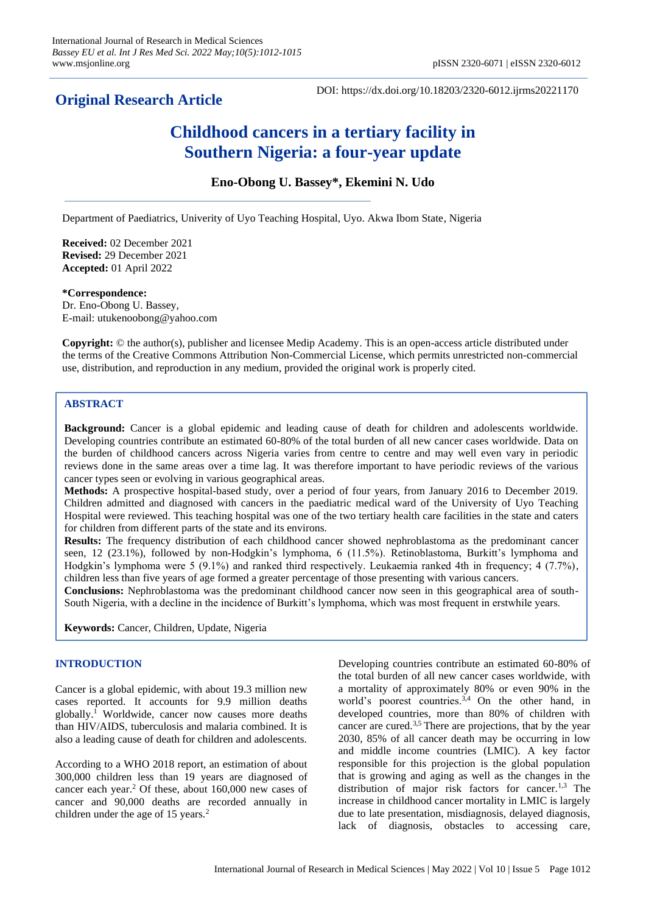# **Original Research Article**

DOI: https://dx.doi.org/10.18203/2320-6012.ijrms20221170

# **Childhood cancers in a tertiary facility in Southern Nigeria: a four-year update**

## **Eno-Obong U. Bassey\*, Ekemini N. Udo**

Department of Paediatrics, Univerity of Uyo Teaching Hospital, Uyo. Akwa Ibom State, Nigeria

**Received:** 02 December 2021 **Revised:** 29 December 2021 **Accepted:** 01 April 2022

**\*Correspondence:** Dr. Eno-Obong U. Bassey, E-mail: utukenoobong@yahoo.com

**Copyright:** © the author(s), publisher and licensee Medip Academy. This is an open-access article distributed under the terms of the Creative Commons Attribution Non-Commercial License, which permits unrestricted non-commercial use, distribution, and reproduction in any medium, provided the original work is properly cited.

### **ABSTRACT**

**Background:** Cancer is a global epidemic and leading cause of death for children and adolescents worldwide. Developing countries contribute an estimated 60-80% of the total burden of all new cancer cases worldwide. Data on the burden of childhood cancers across Nigeria varies from centre to centre and may well even vary in periodic reviews done in the same areas over a time lag. It was therefore important to have periodic reviews of the various cancer types seen or evolving in various geographical areas.

**Methods:** A prospective hospital-based study, over a period of four years, from January 2016 to December 2019. Children admitted and diagnosed with cancers in the paediatric medical ward of the University of Uyo Teaching Hospital were reviewed. This teaching hospital was one of the two tertiary health care facilities in the state and caters for children from different parts of the state and its environs.

**Results:** The frequency distribution of each childhood cancer showed nephroblastoma as the predominant cancer seen, 12 (23.1%), followed by non-Hodgkin's lymphoma, 6 (11.5%). Retinoblastoma, Burkitt's lymphoma and Hodgkin's lymphoma were 5 (9.1%) and ranked third respectively. Leukaemia ranked 4th in frequency; 4 (7.7%), children less than five years of age formed a greater percentage of those presenting with various cancers.

**Conclusions:** Nephroblastoma was the predominant childhood cancer now seen in this geographical area of south-South Nigeria, with a decline in the incidence of Burkitt's lymphoma, which was most frequent in erstwhile years.

**Keywords:** Cancer, Children, Update, Nigeria

#### **INTRODUCTION**

Cancer is a global epidemic, with about 19.3 million new cases reported. It accounts for 9.9 million deaths globally.<sup>1</sup> Worldwide, cancer now causes more deaths than HIV/AIDS, tuberculosis and malaria combined. It is also a leading cause of death for children and adolescents.

According to a WHO 2018 report, an estimation of about 300,000 children less than 19 years are diagnosed of cancer each year.<sup>2</sup> Of these, about 160,000 new cases of cancer and 90,000 deaths are recorded annually in children under the age of 15 years.<sup>2</sup>

Developing countries contribute an estimated 60-80% of the total burden of all new cancer cases worldwide, with a mortality of approximately 80% or even 90% in the world's poorest countries.<sup>3,4</sup> On the other hand, in developed countries, more than 80% of children with cancer are cured.3,5 There are projections, that by the year 2030, 85% of all cancer death may be occurring in low and middle income countries (LMIC). A key factor responsible for this projection is the global population that is growing and aging as well as the changes in the distribution of major risk factors for cancer.<sup>1,3</sup> The increase in childhood cancer mortality in LMIC is largely due to late presentation, misdiagnosis, delayed diagnosis, lack of diagnosis, obstacles to accessing care,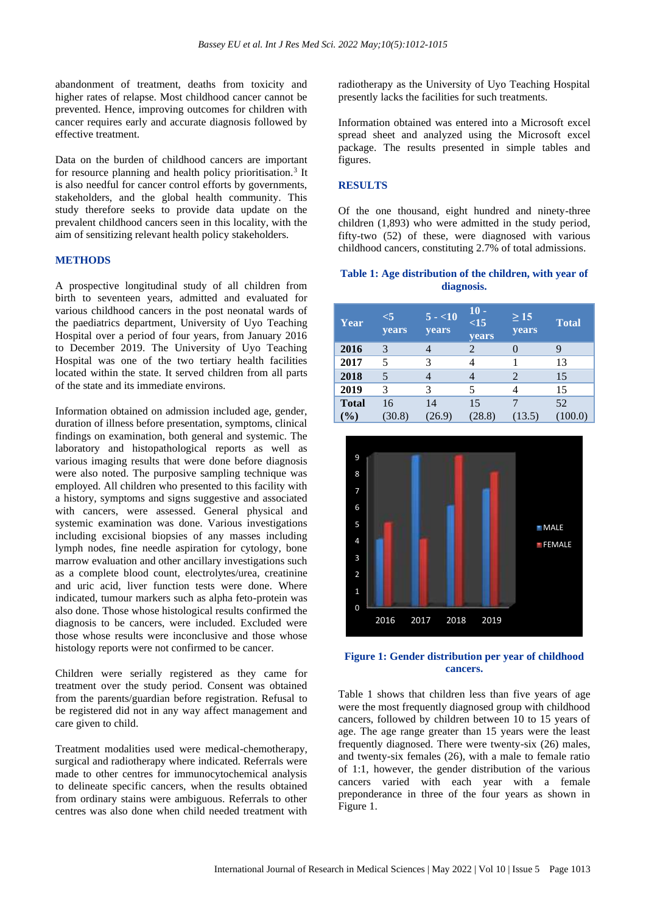abandonment of treatment, deaths from toxicity and higher rates of relapse. Most childhood cancer cannot be prevented. Hence, improving outcomes for children with cancer requires early and accurate diagnosis followed by effective treatment.

Data on the burden of childhood cancers are important for resource planning and health policy prioritisation.<sup>3</sup> It is also needful for cancer control efforts by governments, stakeholders, and the global health community. This study therefore seeks to provide data update on the prevalent childhood cancers seen in this locality, with the aim of sensitizing relevant health policy stakeholders.

#### **METHODS**

A prospective longitudinal study of all children from birth to seventeen years, admitted and evaluated for various childhood cancers in the post neonatal wards of the paediatrics department, University of Uyo Teaching Hospital over a period of four years, from January 2016 to December 2019. The University of Uyo Teaching Hospital was one of the two tertiary health facilities located within the state. It served children from all parts of the state and its immediate environs.

Information obtained on admission included age, gender, duration of illness before presentation, symptoms, clinical findings on examination, both general and systemic. The laboratory and histopathological reports as well as various imaging results that were done before diagnosis were also noted. The purposive sampling technique was employed. All children who presented to this facility with a history, symptoms and signs suggestive and associated with cancers, were assessed. General physical and systemic examination was done. Various investigations including excisional biopsies of any masses including lymph nodes, fine needle aspiration for cytology, bone marrow evaluation and other ancillary investigations such as a complete blood count, electrolytes/urea, creatinine and uric acid, liver function tests were done. Where indicated, tumour markers such as alpha feto-protein was also done. Those whose histological results confirmed the diagnosis to be cancers, were included. Excluded were those whose results were inconclusive and those whose histology reports were not confirmed to be cancer.

Children were serially registered as they came for treatment over the study period. Consent was obtained from the parents/guardian before registration. Refusal to be registered did not in any way affect management and care given to child.

Treatment modalities used were medical-chemotherapy, surgical and radiotherapy where indicated. Referrals were made to other centres for immunocytochemical analysis to delineate specific cancers, when the results obtained from ordinary stains were ambiguous. Referrals to other centres was also done when child needed treatment with radiotherapy as the University of Uyo Teaching Hospital presently lacks the facilities for such treatments.

Information obtained was entered into a Microsoft excel spread sheet and analyzed using the Microsoft excel package. The results presented in simple tables and figures.

#### **RESULTS**

Of the one thousand, eight hundred and ninety-three children (1,893) who were admitted in the study period, fifty-two (52) of these, were diagnosed with various childhood cancers, constituting 2.7% of total admissions.

#### **Table 1: Age distribution of the children, with year of diagnosis.**

| Year         | $\leq$ 5<br><b>years</b> | $5 - 10$<br><b>vears</b> | $10 -$<br>$\leq 15$<br><b>vears</b> | $\geq$ 15<br>years | <b>Total</b> |
|--------------|--------------------------|--------------------------|-------------------------------------|--------------------|--------------|
| 2016         | 3                        |                          |                                     |                    | 9            |
| 2017         | 5                        | 3                        |                                     |                    | 13           |
| 2018         | 5                        |                          | 4                                   | 2                  | 15           |
| 2019         | 3                        | 3                        | 5                                   | 4                  | 15           |
| <b>Total</b> | 16                       | 14                       | 15                                  | 7                  | 52           |
| $(\%)$       | (30.8)                   | (26.9)                   | (28.8)                              | (13.5)             | 100.0)       |



#### **Figure 1: Gender distribution per year of childhood cancers.**

Table 1 shows that children less than five years of age were the most frequently diagnosed group with childhood cancers, followed by children between 10 to 15 years of age. The age range greater than 15 years were the least frequently diagnosed. There were twenty-six (26) males, and twenty-six females (26), with a male to female ratio of 1:1, however, the gender distribution of the various cancers varied with each year with a female preponderance in three of the four years as shown in Figure 1.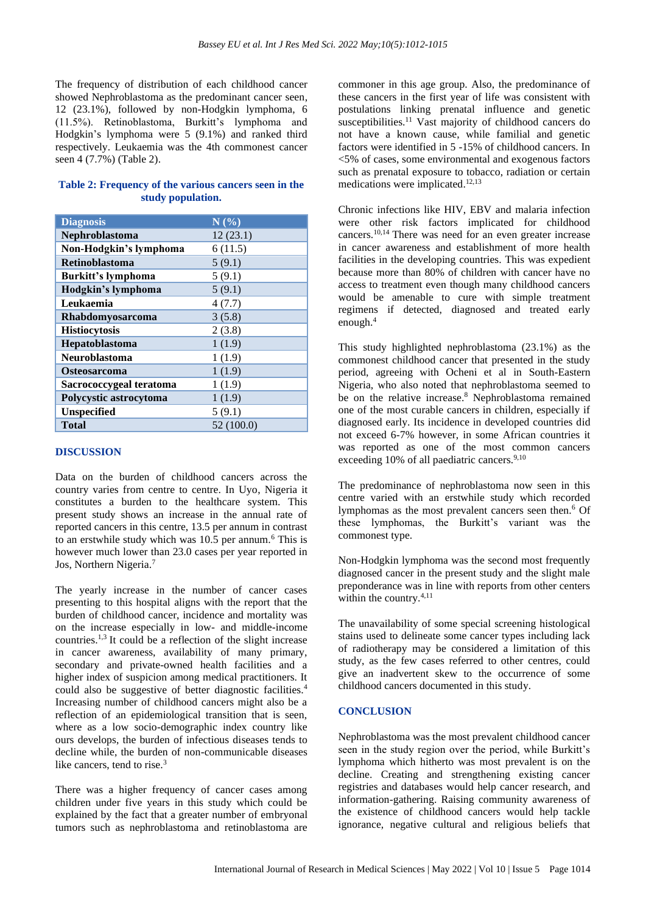The frequency of distribution of each childhood cancer showed Nephroblastoma as the predominant cancer seen, 12 (23.1%), followed by non-Hodgkin lymphoma, 6 (11.5%). Retinoblastoma, Burkitt's lymphoma and Hodgkin's lymphoma were 5 (9.1%) and ranked third respectively. Leukaemia was the 4th commonest cancer seen 4 (7.7%) (Table 2).

#### **Table 2: Frequency of the various cancers seen in the study population.**

| <b>Diagnosis</b>          | N(%)       |
|---------------------------|------------|
| <b>Nephroblastoma</b>     | 12(23.1)   |
| Non-Hodgkin's lymphoma    | 6(11.5)    |
| <b>Retinoblastoma</b>     | 5(9.1)     |
| <b>Burkitt's lymphoma</b> | 5(9.1)     |
| Hodgkin's lymphoma        | 5(9.1)     |
| Leukaemia                 | 4(7.7)     |
| <b>Rhabdomyosarcoma</b>   | 3(5.8)     |
| <b>Histiocytosis</b>      | 2(3.8)     |
| Hepatoblastoma            | 1(1.9)     |
| <b>Neuroblastoma</b>      | 1(1.9)     |
| <b>Osteosarcoma</b>       | 1(1.9)     |
| Sacrococcygeal teratoma   | 1(1.9)     |
| Polycystic astrocytoma    | 1(1.9)     |
| <b>Unspecified</b>        | 5(9.1)     |
| <b>Total</b>              | 52 (100.0) |

#### **DISCUSSION**

Data on the burden of childhood cancers across the country varies from centre to centre. In Uyo, Nigeria it constitutes a burden to the healthcare system. This present study shows an increase in the annual rate of reported cancers in this centre, 13.5 per annum in contrast to an erstwhile study which was 10.5 per annum.<sup>6</sup> This is however much lower than 23.0 cases per year reported in Jos, Northern Nigeria.<sup>7</sup>

The yearly increase in the number of cancer cases presenting to this hospital aligns with the report that the burden of childhood cancer, incidence and mortality was on the increase especially in low- and middle-income countries.1,3 It could be a reflection of the slight increase in cancer awareness, availability of many primary, secondary and private-owned health facilities and a higher index of suspicion among medical practitioners. It could also be suggestive of better diagnostic facilities.<sup>4</sup> Increasing number of childhood cancers might also be a reflection of an epidemiological transition that is seen, where as a low socio-demographic index country like ours develops, the burden of infectious diseases tends to decline while, the burden of non-communicable diseases like cancers, tend to rise.<sup>3</sup>

There was a higher frequency of cancer cases among children under five years in this study which could be explained by the fact that a greater number of embryonal tumors such as nephroblastoma and retinoblastoma are commoner in this age group. Also, the predominance of these cancers in the first year of life was consistent with postulations linking prenatal influence and genetic susceptibilities.<sup>11</sup> Vast majority of childhood cancers do not have a known cause, while familial and genetic factors were identified in 5 -15% of childhood cancers. In <5% of cases, some environmental and exogenous factors such as prenatal exposure to tobacco, radiation or certain medications were implicated.<sup>12,13</sup>

Chronic infections like HIV, EBV and malaria infection were other risk factors implicated for childhood cancers.10,14 There was need for an even greater increase in cancer awareness and establishment of more health facilities in the developing countries. This was expedient because more than 80% of children with cancer have no access to treatment even though many childhood cancers would be amenable to cure with simple treatment regimens if detected, diagnosed and treated early enough.<sup>4</sup>

This study highlighted nephroblastoma (23.1%) as the commonest childhood cancer that presented in the study period, agreeing with Ocheni et al in South-Eastern Nigeria, who also noted that nephroblastoma seemed to be on the relative increase.<sup>8</sup> Nephroblastoma remained one of the most curable cancers in children, especially if diagnosed early. Its incidence in developed countries did not exceed 6-7% however, in some African countries it was reported as one of the most common cancers exceeding  $10\%$  of all paediatric cancers.<sup>9,10</sup>

The predominance of nephroblastoma now seen in this centre varied with an erstwhile study which recorded lymphomas as the most prevalent cancers seen then.<sup>6</sup> Of these lymphomas, the Burkitt's variant was the commonest type.

Non-Hodgkin lymphoma was the second most frequently diagnosed cancer in the present study and the slight male preponderance was in line with reports from other centers within the country.<sup>4,11</sup>

The unavailability of some special screening histological stains used to delineate some cancer types including lack of radiotherapy may be considered a limitation of this study, as the few cases referred to other centres, could give an inadvertent skew to the occurrence of some childhood cancers documented in this study.

#### **CONCLUSION**

Nephroblastoma was the most prevalent childhood cancer seen in the study region over the period, while Burkitt's lymphoma which hitherto was most prevalent is on the decline. Creating and strengthening existing cancer registries and databases would help cancer research, and information-gathering. Raising community awareness of the existence of childhood cancers would help tackle ignorance, negative cultural and religious beliefs that